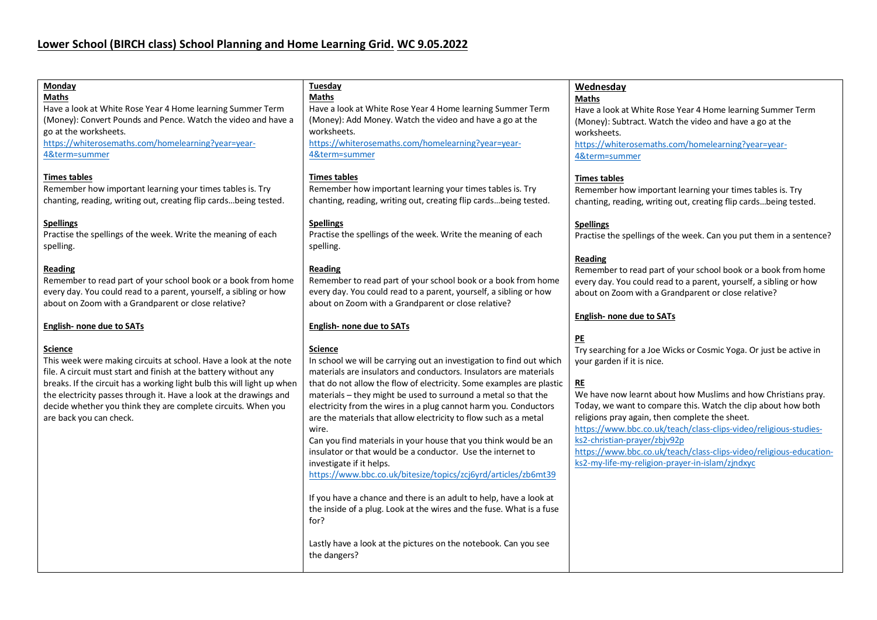| Monday<br><b>Maths</b><br>Have a look at White Rose Year 4 Home learning Summer Term<br>(Money): Convert Pounds and Pence. Watch the video and have a<br>go at the worksheets.<br>https://whiterosemaths.com/homelearning?year=year-<br>4&term=summer | Tuesday<br><b>Maths</b><br>Have a look at White Rose Year 4 Home learning Summer Term<br>(Money): Add Money. Watch the video and have a go at the<br>worksheets.<br>https://whiterosemaths.com/homelearning?year=year-<br>4&term=summer | Wednesday<br><b>Maths</b><br>Have a look at White Rose Year 4 Home learning Summer Term<br>(Money): Subtract. Watch the video and have a go at the<br>worksheets.<br>https://whiterosemaths.com/homelearning?year=year-<br>4&term=summer             |
|-------------------------------------------------------------------------------------------------------------------------------------------------------------------------------------------------------------------------------------------------------|-----------------------------------------------------------------------------------------------------------------------------------------------------------------------------------------------------------------------------------------|------------------------------------------------------------------------------------------------------------------------------------------------------------------------------------------------------------------------------------------------------|
| <b>Times tables</b><br>Remember how important learning your times tables is. Try<br>chanting, reading, writing out, creating flip cardsbeing tested.                                                                                                  | <b>Times tables</b><br>Remember how important learning your times tables is. Try<br>chanting, reading, writing out, creating flip cardsbeing tested.                                                                                    | <b>Times tables</b><br>Remember how important learning your times tables is. Try<br>chanting, reading, writing out, creating flip cardsbeing tested.                                                                                                 |
| <b>Spellings</b><br>Practise the spellings of the week. Write the meaning of each<br>spelling.                                                                                                                                                        | <b>Spellings</b><br>Practise the spellings of the week. Write the meaning of each<br>spelling.                                                                                                                                          | <b>Spellings</b><br>Practise the spellings of the week. Can you put them in a sentence?                                                                                                                                                              |
| Reading<br>Remember to read part of your school book or a book from home<br>every day. You could read to a parent, yourself, a sibling or how<br>about on Zoom with a Grandparent or close relative?                                                  | Reading<br>Remember to read part of your school book or a book from home<br>every day. You could read to a parent, yourself, a sibling or how<br>about on Zoom with a Grandparent or close relative?                                    | <b>Reading</b><br>Remember to read part of your school book or a book from home<br>every day. You could read to a parent, yourself, a sibling or how<br>about on Zoom with a Grandparent or close relative?                                          |
| <b>English- none due to SATs</b><br><b>Science</b>                                                                                                                                                                                                    | <b>English- none due to SATs</b><br><b>Science</b>                                                                                                                                                                                      | <b>English- none due to SATs</b><br>PE<br>Try searching for a Joe Wicks or Cosmic Yoga. Or just be active in                                                                                                                                         |
| This week were making circuits at school. Have a look at the note<br>file. A circuit must start and finish at the battery without any<br>breaks. If the circuit has a working light bulb this will light up when                                      | In school we will be carrying out an investigation to find out which<br>materials are insulators and conductors. Insulators are materials<br>that do not allow the flow of electricity. Some examples are plastic                       | your garden if it is nice.<br>RE                                                                                                                                                                                                                     |
| the electricity passes through it. Have a look at the drawings and<br>decide whether you think they are complete circuits. When you<br>are back you can check.                                                                                        | materials - they might be used to surround a metal so that the<br>electricity from the wires in a plug cannot harm you. Conductors<br>are the materials that allow electricity to flow such as a metal<br>wire.                         | We have now learnt about how Muslims and how Christians pray.<br>Today, we want to compare this. Watch the clip about how both<br>religions pray again, then complete the sheet.<br>https://www.bbc.co.uk/teach/class-clips-video/religious-studies- |
|                                                                                                                                                                                                                                                       | Can you find materials in your house that you think would be an<br>insulator or that would be a conductor. Use the internet to<br>investigate if it helps.<br>https://www.bbc.co.uk/bitesize/topics/zcj6yrd/articles/zb6mt39            | ks2-christian-prayer/zbjv92p<br>https://www.bbc.co.uk/teach/class-clips-video/religious-education-<br>ks2-my-life-my-religion-prayer-in-islam/zjndxyc                                                                                                |
|                                                                                                                                                                                                                                                       | If you have a chance and there is an adult to help, have a look at<br>the inside of a plug. Look at the wires and the fuse. What is a fuse<br>for?                                                                                      |                                                                                                                                                                                                                                                      |
|                                                                                                                                                                                                                                                       | Lastly have a look at the pictures on the notebook. Can you see<br>the dangers?                                                                                                                                                         |                                                                                                                                                                                                                                                      |